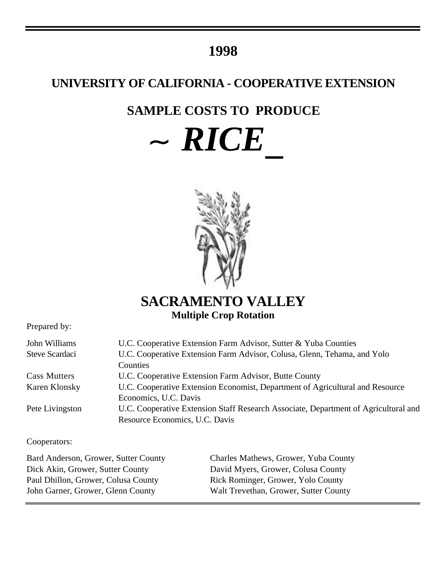# **1998**

# **UNIVERSITY OF CALIFORNIA - COOPERATIVE EXTENSION**

# **SAMPLE COSTS TO PRODUCE**

 $\sim RICE$ 



**SACRAMENTO VALLEY Multiple Crop Rotation**

Prepared by:

| John Williams       | U.C. Cooperative Extension Farm Advisor, Sutter & Yuba Counties                     |
|---------------------|-------------------------------------------------------------------------------------|
| Steve Scardaci      | U.C. Cooperative Extension Farm Advisor, Colusa, Glenn, Tehama, and Yolo            |
|                     | Counties                                                                            |
| <b>Cass Mutters</b> | U.C. Cooperative Extension Farm Advisor, Butte County                               |
| Karen Klonsky       | U.C. Cooperative Extension Economist, Department of Agricultural and Resource       |
|                     | Economics, U.C. Davis                                                               |
| Pete Livingston     | U.C. Cooperative Extension Staff Research Associate, Department of Agricultural and |
|                     | Resource Economics, U.C. Davis                                                      |
|                     |                                                                                     |

Cooperators:

Dick Akin, Grower, Sutter County David Myers, Grower, Colusa County Paul Dhillon, Grower, Colusa County Rick Rominger, Grower, Yolo County

Bard Anderson, Grower, Sutter County Charles Mathews, Grower, Yuba County John Garner, Grower, Glenn County Walt Trevethan, Grower, Sutter County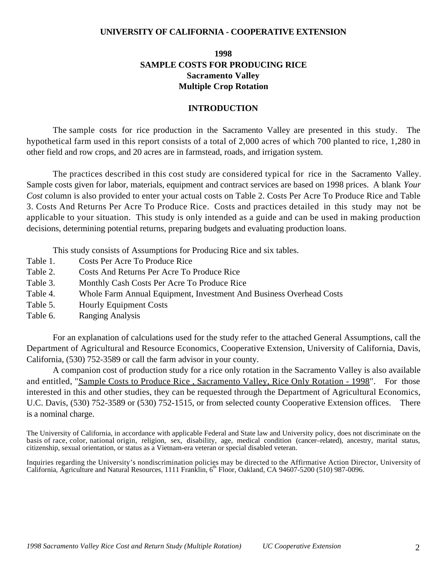### **UNIVERSITY OF CALIFORNIA - COOPERATIVE EXTENSION**

## **1998 SAMPLE COSTS FOR PRODUCING RICE Sacramento Valley Multiple Crop Rotation**

### **INTRODUCTION**

The sample costs for rice production in the Sacramento Valley are presented in this study. The hypothetical farm used in this report consists of a total of 2,000 acres of which 700 planted to rice, 1,280 in other field and row crops, and 20 acres are in farmstead, roads, and irrigation system.

The practices described in this cost study are considered typical for rice in the Sacramento Valley. Sample costs given for labor, materials, equipment and contract services are based on 1998 prices. A blank *Your Cost* column is also provided to enter your actual costs on Table 2. Costs Per Acre To Produce Rice and Table 3. Costs And Returns Per Acre To Produce Rice. Costs and practices detailed in this study may not be applicable to your situation. This study is only intended as a guide and can be used in making production decisions, determining potential returns, preparing budgets and evaluating production loans.

This study consists of Assumptions for Producing Rice and six tables.

- Table 1. Costs Per Acre To Produce Rice
- Table 2. Costs And Returns Per Acre To Produce Rice
- Table 3. Monthly Cash Costs Per Acre To Produce Rice
- Table 4. Whole Farm Annual Equipment, Investment And Business Overhead Costs
- Table 5. Hourly Equipment Costs
- Table 6. Ranging Analysis

For an explanation of calculations used for the study refer to the attached General Assumptions, call the Department of Agricultural and Resource Economics, Cooperative Extension, University of California, Davis, California, (530) 752-3589 or call the farm advisor in your county.

A companion cost of production study for a rice only rotation in the Sacramento Valley is also available and entitled, "Sample Costs to Produce Rice , Sacramento Valley, Rice Only Rotation - 1998". For those interested in this and other studies, they can be requested through the Department of Agricultural Economics, U.C. Davis, (530) 752-3589 or (530) 752-1515, or from selected county Cooperative Extension offices. There is a nominal charge.

The University of California, in accordance with applicable Federal and State law and University policy, does not discriminate on the basis of race, color, national origin, religion, sex, disability, age, medical condition (cancer–related), ancestry, marital status, citizenship, sexual orientation, or status as a Vietnam-era veteran or special disabled veteran.

Inquiries regarding the University's nondiscrimination policies may be directed to the Affirmative Action Director, University of California, Agriculture and Natural Resources, 1111 Franklin,  $6<sup>th</sup>$  Floor, Oakland, CA 94607-5200 (510) 987-0096.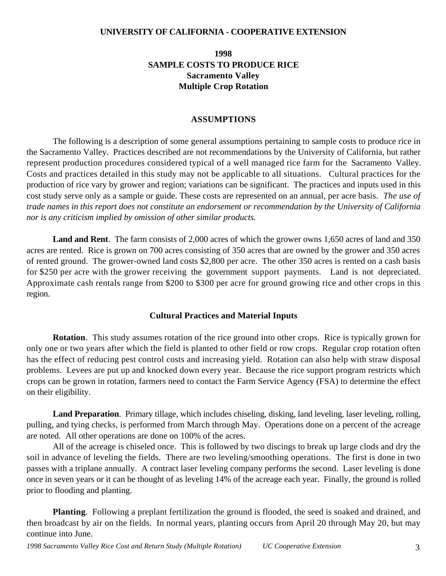### **UNIVERSITY OF CALIFORNIA - COOPERATIVE EXTENSION**

## **1998 SAMPLE COSTS TO PRODUCE RICE Sacramento Valley Multiple Crop Rotation**

### **ASSUMPTIONS**

The following is a description of some general assumptions pertaining to sample costs to produce rice in the Sacramento Valley. Practices described are not recommendations by the University of California, but rather represent production procedures considered typical of a well managed rice farm for the Sacramento Valley. Costs and practices detailed in this study may not be applicable to all situations.Cultural practices for the production of rice vary by grower and region; variations can be significant. The practices and inputs used in this cost study serve only as a sample or guide. These costs are represented on an annual, per acre basis. *The use of trade names in this report does not constitute an endorsement or recommendation by the University of California nor is any criticism implied by omission of other similar products.*

**Land and Rent**. The farm consists of 2,000 acres of which the grower owns 1,650 acres of land and 350 acres are rented. Rice is grown on 700 acres consisting of 350 acres that are owned by the grower and 350 acres of rented ground. The grower-owned land costs \$2,800 per acre. The other 350 acres is rented on a cash basis for \$250 per acre with the grower receiving the government support payments. Land is not depreciated. Approximate cash rentals range from \$200 to \$300 per acre for ground growing rice and other crops in this region.

### **Cultural Practices and Material Inputs**

**Rotation**. This study assumes rotation of the rice ground into other crops. Rice is typically grown for only one or two years after which the field is planted to other field or row crops. Regular crop rotation often has the effect of reducing pest control costs and increasing yield. Rotation can also help with straw disposal problems. Levees are put up and knocked down every year. Because the rice support program restricts which crops can be grown in rotation, farmers need to contact the Farm Service Agency (FSA) to determine the effect on their eligibility.

**Land Preparation**. Primary tillage, which includes chiseling, disking, land leveling, laser leveling, rolling, pulling, and tying checks, is performed from March through May. Operations done on a percent of the acreage are noted. All other operations are done on 100% of the acres.

All of the acreage is chiseled once. This is followed by two discings to break up large clods and dry the soil in advance of leveling the fields. There are two leveling/smoothing operations. The first is done in two passes with a triplane annually. A contract laser leveling company performs the second. Laser leveling is done once in seven years or it can be thought of as leveling 14% of the acreage each year. Finally, the ground is rolled prior to flooding and planting.

**Planting**. Following a preplant fertilization the ground is flooded, the seed is soaked and drained, and then broadcast by air on the fields. In normal years, planting occurs from April 20 through May 20, but may continue into June.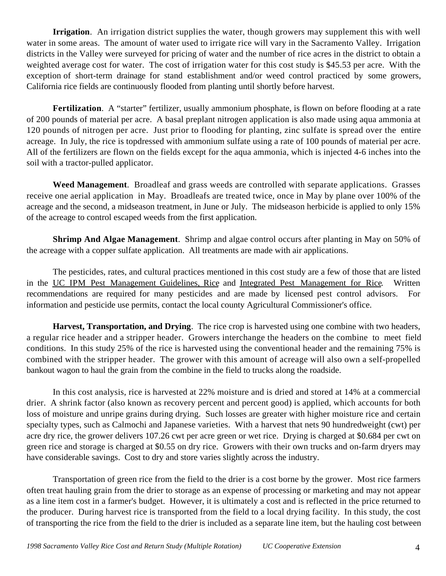**Irrigation**. An irrigation district supplies the water, though growers may supplement this with well water in some areas. The amount of water used to irrigate rice will vary in the Sacramento Valley. Irrigation districts in the Valley were surveyed for pricing of water and the number of rice acres in the district to obtain a weighted average cost for water. The cost of irrigation water for this cost study is \$45.53 per acre. With the exception of short-term drainage for stand establishment and/or weed control practiced by some growers, California rice fields are continuously flooded from planting until shortly before harvest.

**Fertilization.** A "starter" fertilizer, usually ammonium phosphate, is flown on before flooding at a rate of 200 pounds of material per acre. A basal preplant nitrogen application is also made using aqua ammonia at 120 pounds of nitrogen per acre. Just prior to flooding for planting, zinc sulfate is spread over the entire acreage. In July, the rice is topdressed with ammonium sulfate using a rate of 100 pounds of material per acre. All of the fertilizers are flown on the fields except for the aqua ammonia, which is injected 4-6 inches into the soil with a tractor-pulled applicator.

**Weed Management**. Broadleaf and grass weeds are controlled with separate applications. Grasses receive one aerial application in May. Broadleafs are treated twice, once in May by plane over 100% of the acreage and the second, a midseason treatment, in June or July. The midseason herbicide is applied to only 15% of the acreage to control escaped weeds from the first application.

**Shrimp And Algae Management**. Shrimp and algae control occurs after planting in May on 50% of the acreage with a copper sulfate application. All treatments are made with air applications.

The pesticides, rates, and cultural practices mentioned in this cost study are a few of those that are listed in the UC IPM Pest Management Guidelines, Rice and Integrated Pest Management for Rice. Written recommendations are required for many pesticides and are made by licensed pest control advisors. For information and pesticide use permits, contact the local county Agricultural Commissioner's office.

**Harvest, Transportation, and Drying**. The rice crop is harvested using one combine with two headers, a regular rice header and a stripper header. Growers interchange the headers on the combine to meet field conditions. In this study 25% of the rice is harvested using the conventional header and the remaining 75% is combined with the stripper header. The grower with this amount of acreage will also own a self-propelled bankout wagon to haul the grain from the combine in the field to trucks along the roadside.

In this cost analysis, rice is harvested at 22% moisture and is dried and stored at 14% at a commercial drier. A shrink factor (also known as recovery percent and percent good) is applied, which accounts for both loss of moisture and unripe grains during drying. Such losses are greater with higher moisture rice and certain specialty types, such as Calmochi and Japanese varieties. With a harvest that nets 90 hundredweight (cwt) per acre dry rice, the grower delivers 107.26 cwt per acre green or wet rice. Drying is charged at \$0.684 per cwt on green rice and storage is charged at \$0.55 on dry rice. Growers with their own trucks and on-farm dryers may have considerable savings. Cost to dry and store varies slightly across the industry.

Transportation of green rice from the field to the drier is a cost borne by the grower. Most rice farmers often treat hauling grain from the drier to storage as an expense of processing or marketing and may not appear as a line item cost in a farmer's budget. However, it is ultimately a cost and is reflected in the price returned to the producer. During harvest rice is transported from the field to a local drying facility. In this study, the cost of transporting the rice from the field to the drier is included as a separate line item, but the hauling cost between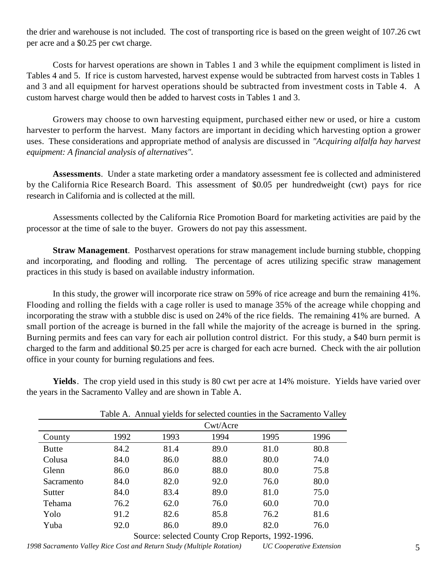the drier and warehouse is not included. The cost of transporting rice is based on the green weight of 107.26 cwt per acre and a \$0.25 per cwt charge.

Costs for harvest operations are shown in Tables 1 and 3 while the equipment compliment is listed in Tables 4 and 5. If rice is custom harvested, harvest expense would be subtracted from harvest costs in Tables 1 and 3 and all equipment for harvest operations should be subtracted from investment costs in Table 4. A custom harvest charge would then be added to harvest costs in Tables 1 and 3.

Growers may choose to own harvesting equipment, purchased either new or used, or hire a custom harvester to perform the harvest. Many factors are important in deciding which harvesting option a grower uses. These considerations and appropriate method of analysis are discussed in *"Acquiring alfalfa hay harvest equipment: A financial analysis of alternatives".*

**Assessments**. Under a state marketing order a mandatory assessment fee is collected and administered by the California Rice Research Board. This assessment of \$0.05 per hundredweight (cwt) pays for rice research in California and is collected at the mill.

Assessments collected by the California Rice Promotion Board for marketing activities are paid by the processor at the time of sale to the buyer. Growers do not pay this assessment.

**Straw Management**. Postharvest operations for straw management include burning stubble, chopping and incorporating, and flooding and rolling. The percentage of acres utilizing specific straw management practices in this study is based on available industry information.

In this study, the grower will incorporate rice straw on 59% of rice acreage and burn the remaining 41%. Flooding and rolling the fields with a cage roller is used to manage 35% of the acreage while chopping and incorporating the straw with a stubble disc is used on 24% of the rice fields. The remaining 41% are burned. A small portion of the acreage is burned in the fall while the majority of the acreage is burned in the spring. Burning permits and fees can vary for each air pollution control district. For this study, a \$40 burn permit is charged to the farm and additional \$0.25 per acre is charged for each acre burned. Check with the air pollution office in your county for burning regulations and fees.

**Yields**. The crop yield used in this study is 80 cwt per acre at 14% moisture. Yields have varied over the years in the Sacramento Valley and are shown in Table A.

|              |      |      |          | Lating A. Allingary folds for selected countries in the Sacramento Valley |      |
|--------------|------|------|----------|---------------------------------------------------------------------------|------|
|              |      |      | Cwt/Acre |                                                                           |      |
| County       | 1992 | 1993 | 1994     | 1995                                                                      | 1996 |
| <b>Butte</b> | 84.2 | 81.4 | 89.0     | 81.0                                                                      | 80.8 |
| Colusa       | 84.0 | 86.0 | 88.0     | 80.0                                                                      | 74.0 |
| Glenn        | 86.0 | 86.0 | 88.0     | 80.0                                                                      | 75.8 |
| Sacramento   | 84.0 | 82.0 | 92.0     | 76.0                                                                      | 80.0 |
| Sutter       | 84.0 | 83.4 | 89.0     | 81.0                                                                      | 75.0 |
| Tehama       | 76.2 | 62.0 | 76.0     | 60.0                                                                      | 70.0 |
| Yolo         | 91.2 | 82.6 | 85.8     | 76.2                                                                      | 81.6 |
| Yuba         | 92.0 | 86.0 | 89.0     | 82.0                                                                      | 76.0 |

Table A. Annual yields for selected counties in the Sacramento Valley

Source: selected County Crop Reports, 1992-1996.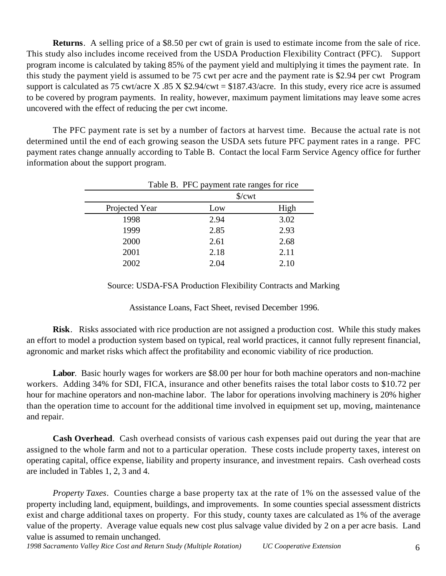**Returns**. A selling price of a \$8.50 per cwt of grain is used to estimate income from the sale of rice. This study also includes income received from the USDA Production Flexibility Contract (PFC). Support program income is calculated by taking 85% of the payment yield and multiplying it times the payment rate. In this study the payment yield is assumed to be 75 cwt per acre and the payment rate is \$2.94 per cwt Program support is calculated as 75 cwt/acre X .85 X  $$2.94$ /cwt = \$187.43/acre. In this study, every rice acre is assumed to be covered by program payments. In reality, however, maximum payment limitations may leave some acres uncovered with the effect of reducing the per cwt income.

The PFC payment rate is set by a number of factors at harvest time. Because the actual rate is not determined until the end of each growing season the USDA sets future PFC payment rates in a range. PFC payment rates change annually according to Table B. Contact the local Farm Service Agency office for further information about the support program.

|                | Table B. PFC payment rate ranges for rice |      |
|----------------|-------------------------------------------|------|
|                | $\sqrt{\text{cwt}}$                       |      |
| Projected Year | Low                                       | High |
| 1998           | 2.94                                      | 3.02 |
| 1999           | 2.85                                      | 2.93 |
| 2000           | 2.61                                      | 2.68 |
| 2001           | 2.18                                      | 2.11 |
| 2002           | 2.04                                      | 2.10 |

Source: USDA-FSA Production Flexibility Contracts and Marking

Assistance Loans, Fact Sheet, revised December 1996.

**Risk**. Risks associated with rice production are not assigned a production cost. While this study makes an effort to model a production system based on typical, real world practices, it cannot fully represent financial, agronomic and market risks which affect the profitability and economic viability of rice production.

**Labor**. Basic hourly wages for workers are \$8.00 per hour for both machine operators and non-machine workers. Adding 34% for SDI, FICA, insurance and other benefits raises the total labor costs to \$10.72 per hour for machine operators and non-machine labor. The labor for operations involving machinery is 20% higher than the operation time to account for the additional time involved in equipment set up, moving, maintenance and repair.

**Cash Overhead**. Cash overhead consists of various cash expenses paid out during the year that are assigned to the whole farm and not to a particular operation. These costs include property taxes, interest on operating capital, office expense, liability and property insurance, and investment repairs. Cash overhead costs are included in Tables 1, 2, 3 and 4.

*Property Taxes*. Counties charge a base property tax at the rate of 1% on the assessed value of the property including land, equipment, buildings, and improvements. In some counties special assessment districts exist and charge additional taxes on property. For this study, county taxes are calculated as 1% of the average value of the property. Average value equals new cost plus salvage value divided by 2 on a per acre basis. Land value is assumed to remain unchanged.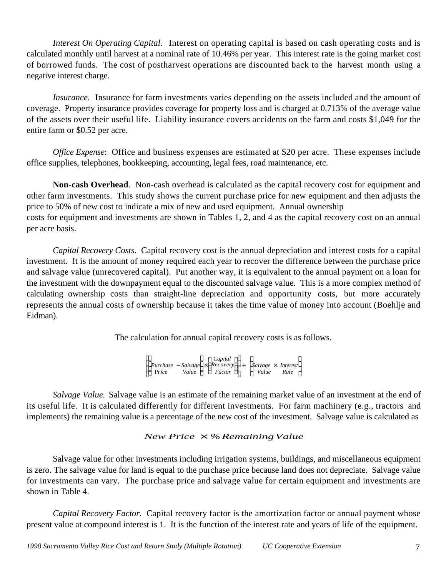*Interest On Operating Capital.* Interest on operating capital is based on cash operating costs and is calculated monthly until harvest at a nominal rate of 10.46% per year. This interest rate is the going market cost of borrowed funds. The cost of postharvest operations are discounted back to the harvest month using a negative interest charge.

*Insurance.* Insurance for farm investments varies depending on the assets included and the amount of coverage. Property insurance provides coverage for property loss and is charged at 0.713% of the average value of the assets over their useful life. Liability insurance covers accidents on the farm and costs \$1,049 for the entire farm or \$0.52 per acre.

*Office Expense*: Office and business expenses are estimated at \$20 per acre. These expenses include office supplies, telephones, bookkeeping, accounting, legal fees, road maintenance, etc.

**Non-cash Overhead**. Non-cash overhead is calculated as the capital recovery cost for equipment and other farm investments. This study shows the current purchase price for new equipment and then adjusts the price to 50% of new cost to indicate a mix of new and used equipment. Annual ownership costs for equipment and investments are shown in Tables 1, 2, and 4 as the capital recovery cost on an annual per acre basis.

*Capital Recovery Costs*. Capital recovery cost is the annual depreciation and interest costs for a capital investment. It is the amount of money required each year to recover the difference between the purchase price and salvage value (unrecovered capital). Put another way, it is equivalent to the annual payment on a loan for the investment with the downpayment equal to the discounted salvage value. This is a more complex method of calculating ownership costs than straight-line depreciation and opportunity costs, but more accurately represents the annual costs of ownership because it takes the time value of money into account (Boehlje and Eidman).

The calculation for annual capital recovery costs is as follows.

*Purchase* − *Salvage* × *Recovery* Pr*ice Value Factor Capital*  $\overline{\phantom{a}}$  + *Salvage* × *Interest Value Rate*  $\frac{1}{2}$ 

*Salvage Value.* Salvage value is an estimate of the remaining market value of an investment at the end of its useful life. It is calculated differently for different investments. For farm machinery (e.g., tractors and implements) the remaining value is a percentage of the new cost of the investment. Salvage value is calculated as

## *New Price* × *%RemainingValue*

Salvage value for other investments including irrigation systems, buildings, and miscellaneous equipment is zero. The salvage value for land is equal to the purchase price because land does not depreciate. Salvage value for investments can vary. The purchase price and salvage value for certain equipment and investments are shown in Table 4.

*Capital Recovery Factor*. Capital recovery factor is the amortization factor or annual payment whose present value at compound interest is 1. It is the function of the interest rate and years of life of the equipment.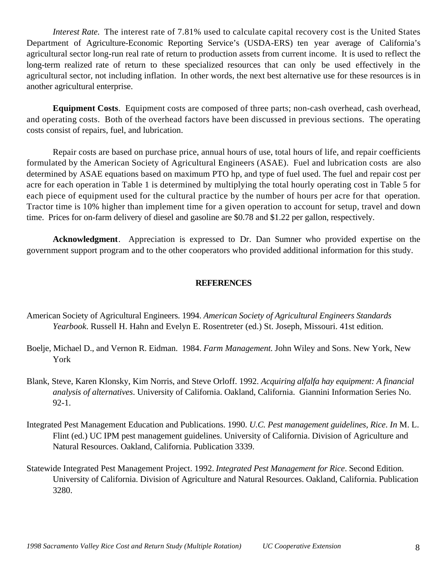*Interest Rate.* The interest rate of 7.81% used to calculate capital recovery cost is the United States Department of Agriculture-Economic Reporting Service's (USDA-ERS) ten year average of California's agricultural sector long-run real rate of return to production assets from current income. It is used to reflect the long-term realized rate of return to these specialized resources that can only be used effectively in the agricultural sector, not including inflation. In other words, the next best alternative use for these resources is in another agricultural enterprise.

**Equipment Costs**. Equipment costs are composed of three parts; non-cash overhead, cash overhead, and operating costs. Both of the overhead factors have been discussed in previous sections. The operating costs consist of repairs, fuel, and lubrication.

Repair costs are based on purchase price, annual hours of use, total hours of life, and repair coefficients formulated by the American Society of Agricultural Engineers (ASAE). Fuel and lubrication costs are also determined by ASAE equations based on maximum PTO hp, and type of fuel used. The fuel and repair cost per acre for each operation in Table 1 is determined by multiplying the total hourly operating cost in Table 5 for each piece of equipment used for the cultural practice by the number of hours per acre for that operation. Tractor time is 10% higher than implement time for a given operation to account for setup, travel and down time. Prices for on-farm delivery of diesel and gasoline are \$0.78 and \$1.22 per gallon, respectively.

**Acknowledgment**. Appreciation is expressed to Dr. Dan Sumner who provided expertise on the government support program and to the other cooperators who provided additional information for this study.

### **REFERENCES**

- American Society of Agricultural Engineers. 1994. *American Society of Agricultural Engineers Standards Yearbook*. Russell H. Hahn and Evelyn E. Rosentreter (ed.) St. Joseph, Missouri. 41st edition.
- Boelje, Michael D., and Vernon R. Eidman. 1984. *Farm Management*. John Wiley and Sons. New York, New York
- Blank, Steve, Karen Klonsky, Kim Norris, and Steve Orloff. 1992. *Acquiring alfalfa hay equipment: A financial analysis of alternatives*. University of California. Oakland, California. Giannini Information Series No. 92-1.
- Integrated Pest Management Education and Publications. 1990. *U.C. Pest management guidelines, Rice*. *In* M. L. Flint (ed.) UC IPM pest management guidelines. University of California. Division of Agriculture and Natural Resources. Oakland, California. Publication 3339.
- Statewide Integrated Pest Management Project. 1992. *Integrated Pest Management for Rice*. Second Edition. University of California. Division of Agriculture and Natural Resources. Oakland, California. Publication 3280.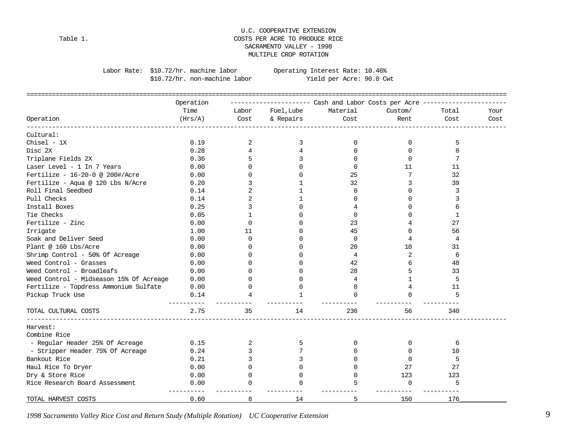### U.C. COOPERATIVE EXTENSION Table 1. COSTS PER ACRE TO PRODUCE RICE SACRAMENTO VALLEY - 1998 MULTIPLE CROP ROTATION

\$10.72/hr. non-machine labor

Labor Rate: \$10.72/hr. machine labor 0perating Interest Rate: 10.46%<br>\$10.72/hr. non-machine labor Yield per Acre: 90.0 Cwt

|                                         | Operation |              |              |          |                |              |      |
|-----------------------------------------|-----------|--------------|--------------|----------|----------------|--------------|------|
|                                         | Time      | Labor        | Fuel, Lube   | Material | Custom/        | Total        | Your |
| Operation                               | (Hrs/A)   | Cost         | & Repairs    | Cost     | Rent           | Cost         | Cost |
| Cultural:                               |           |              |              |          |                |              |      |
| $Chisel - 1X$                           | 0.19      | 2            | 3            | 0        | 0              | 5            |      |
| Disc 2X                                 | 0.28      | 4            | 4            | $\Omega$ | $\Omega$       | 8            |      |
| Triplane Fields 2X                      | 0.36      |              | 3            | $\Omega$ | $\Omega$       | 7            |      |
| Laser Level - 1 In 7 Years              | 0.00      | $\Omega$     | <sup>n</sup> | $\Omega$ | 11             | 11           |      |
| Fertilize - 16-20-0 @ 200#/Acre         | 0.00      | $\Omega$     | $\Omega$     | 25       | 7              | 32           |      |
| Fertilize - Aqua @ 120 Lbs N/Acre       | 0.20      | 3            |              | 32       | 3              | 39           |      |
| Roll Final Seedbed                      | 0.14      | 2            | 1            | 0        | $\Omega$       | 3            |      |
| Pull Checks                             | 0.14      | 2            | $\mathbf{1}$ | 0        | 0              | 3            |      |
| Install Boxes                           | 0.25      | 3            | $\Omega$     | 4        | U              | 6            |      |
| Tie Checks                              | 0.05      | $\mathbf{1}$ | $\Omega$     | $\Omega$ | U              | $\mathbf{1}$ |      |
| Fertilize - Zinc                        | 0.00      | $\Omega$     | <sup>0</sup> | 23       |                | 27           |      |
| Irrigate                                | 1.00      | 11           | <sup>0</sup> | 45       | $\Omega$       | 56           |      |
| Soak and Deliver Seed                   | 0.00      | $\Omega$     | <sup>0</sup> | 0        | $\overline{4}$ | 4            |      |
| Plant @ 160 Lbs/Acre                    | 0.00      | $\Omega$     |              | 20       | 10             | 31           |      |
| Shrimp Control - 50% Of Acreage         | 0.00      | $\Omega$     |              | 4        | 2              | 6            |      |
| Weed Control - Grasses                  | 0.00      | $\Omega$     |              | 42       | 6              | 48           |      |
| Weed Control - Broadleafs               | 0.00      | ∩            | ∩            | 28       | 5              | 33           |      |
| Weed Control - Midseason 15% Of Acreage | 0.00      | $\Omega$     | $\Omega$     | 4        | $\mathbf{1}$   | 5            |      |
| Fertilize - Topdress Ammonium Sulfate   | 0.00      | $\Omega$     | $\Omega$     | 8        | 4              | 11           |      |
| Pickup Truck Use                        | 0.14      | 4            | $\mathbf{1}$ | $\Omega$ | $\Omega$       | 5            |      |
| TOTAL CULTURAL COSTS                    | 2.75      | 35           | 14           | 236      | 56             | 340          |      |
| Harvest:                                |           |              |              |          |                |              |      |
| Combine Rice                            |           |              |              |          |                |              |      |
| - Regular Header 25% Of Acreage         | 0.15      | 2            | 5            | 0        | $\Omega$       | 6            |      |
| - Stripper Header 75% Of Acreage        | 0.24      | 3            |              | 0        | $\Omega$       | 10           |      |
| Bankout Rice                            | 0.21      | 3            |              |          | $\Omega$       | 5            |      |
| Haul Rice To Dryer                      | 0.00      | 0            |              | $\Omega$ | 27             | 27           |      |
| Dry & Store Rice                        | 0.00      | $\Omega$     | $\Omega$     | $\Omega$ | 123            | 123          |      |
| Rice Research Board Assessment          | 0.00      | $\Omega$     | $\Omega$     | 5        | $\mathbf 0$    | 5            |      |
| TOTAL HARVEST COSTS                     | 0.60      | 8            | 14           | 5        | 150            | 176          |      |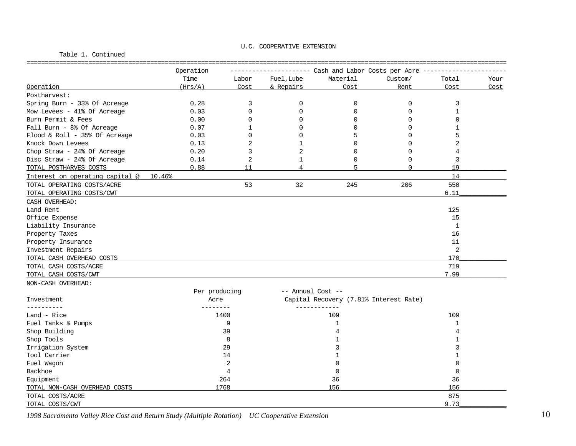### U.C. COOPERATIVE EXTENSION Table 1. Continued ==================================================================================================================================== Operation ---------------------- Cash and Labor Costs per Acre ----------------------- Time Labor Fuel,Lube Material Custom/ Total Your Operation (Hrs/A ) Cost & Repairs Cost Rent Cost Cost Postharvest:  $Spring Burn - 33% Of Acceage$  0.28 3 0 0 0 3 Mow Levees - 41% Of Acreage  $0.03$  0 0 0 0 0 0 1 Burn Permit & Fees 0.00 0 0 0 0 0 Fall Burn - 8% Of Acreage  $0.07$  1 0 0 0 0 1 Flood & Roll - 35% Of Acreage 0.03 0 0 5 0 5 0 5 5 0 5 5 0 5 5 0 5 5 0 5 5 0 5 5 0 5 5 0 5 5 0 5 5 0 5 5 0 5 5 0 5 5 0 5 5 0 5 5 0 5 5 0 5 5 0 5 5 0 5 5 0 5 5 0 5 5 0 5 5 0 5 5 0 5 5 0 5 5 0 5 0 5 0 5 0 5 0 5 0 5 0 5 0 5 0 Knock Down Levees  $0.13$   $2$   $1$   $0$   $0$   $2$ Chop Straw - 24% Of Acreage  $0.20$  3 2 0 0 4 Disc Straw - 24% Of Acreage  $0.14$  2 1 0 0 3 TOTAL POSTHARVES COSTS  $0.88$  11  $4$  5 0 19 Interest on operating capital  $\omega = 10.46\%$ TOTAL OPERATING COSTS/ACRE 61 200 200 225 200 200 200 200 550 TOTAL OPERATING COSTS/CWT 6.11 CASH OVERHEAD: Land Rent 125 Office Expense 15 Liability Insurance 1 Property Taxes and the control of the control of the control of the control of the control of the control of the control of the control of the control of the control of the control of the control of the control of the cont Property Insurance 2012 11 and 2012 12:00 12:00 12:00 12:00 12:00 12:00 12:00 12:00 12:00 12:00 12:00 12:00 12:00 12:00 12:00 12:00 12:00 12:00 12:00 12:00 12:00 12:00 12:00 12:00 12:00 12:00 12:00 12:00 12:00 12:00 12:00 Investment Repairs 2 TOTAL CASH OVERHEAD COSTS  $170$ TOTAL CASH COSTS/ACRE 719 TOTAL CASH COSTS/CWT 7.99 NON-CASH OVERHEAD: Per producing  $--$  Annual Cost --Investment Acre Capital Recovery (7.81% Interest Rate) ---------- -------- ------------ Land - Rice 1400 109 109 Fuel Tanks & Pumps 9 1 1

Shop Building 39 4 4  $\begin{array}{ccccccc} \text{Shop Tools} & & & 8 & & & 1 \end{array}$ Irrigation System 29 3 3  $\begin{array}{cccccccccccccc} \text{Tool} & \text{Carrier} & & & & 14 & & & & 1 \end{array}$ Fuel Wagon 2 0 0  ${\bf Backhoc}$  and  ${\bf Backhoc}$  and  ${\bf Add}$  are  ${\bf Add}$  . In the set of  ${\bf Add}$  and  ${\bf Add}$  are  ${\bf Add}$  and  ${\bf Add}$  are  ${\bf Add}$  . In the set of  ${\bf Add}$  $E$ quipment  $264$   $36$ TOTAL NON-CASH OVERHEAD COSTS 1768 156 156\_\_\_\_\_\_\_\_\_\_\_\_\_ TOTAL COSTS/ACRE 875

 $\frac{9.73}$  . TOTAL COSTS/CWT  $\frac{9.73}$  . The set of the set of the set of the set of the set of the set of the set of the set of the set of the set of the set of the set of the set of the set of the set of the set of the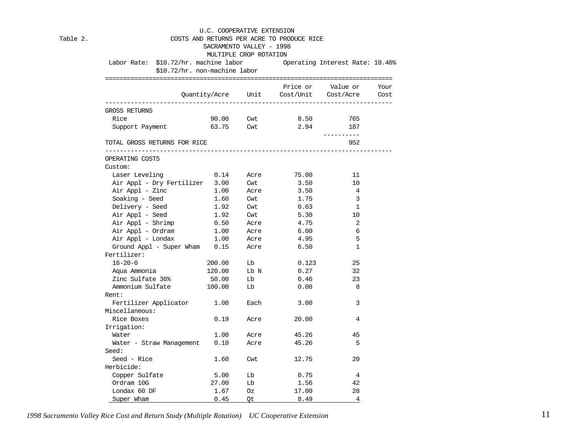|                                                                       | SACRAMENTO VALLEY - 1998 |                        | COSTS AND RETURNS PER ACRE TO PRODUCE RICE |                                             |  |
|-----------------------------------------------------------------------|--------------------------|------------------------|--------------------------------------------|---------------------------------------------|--|
|                                                                       |                          | MULTIPLE CROP ROTATION |                                            |                                             |  |
| Labor Rate: \$10.72/hr. machine labor 0perating Interest Rate: 10.46% |                          |                        |                                            |                                             |  |
| \$10.72/hr. non-machine labor                                         |                          |                        |                                            |                                             |  |
|                                                                       |                          |                        |                                            |                                             |  |
|                                                                       |                          |                        |                                            | Price or Value or Your                      |  |
|                                                                       |                          |                        |                                            | Quantity/Acre Unit Cost/Unit Cost/Acre Cost |  |
| GROSS RETURNS                                                         |                          |                        |                                            |                                             |  |
| Rice                                                                  |                          |                        | 90.00 Cwt 8.50                             | 765                                         |  |
| Support Payment                                                       | 63.75 Cwt                |                        | 2.94                                       | 187                                         |  |
|                                                                       |                          |                        |                                            | ----------                                  |  |
| TOTAL GROSS RETURNS FOR RICE                                          |                          |                        |                                            | 952                                         |  |
| OPERATING COSTS                                                       |                          |                        |                                            |                                             |  |
| Custom:                                                               |                          |                        |                                            |                                             |  |
| Laser Leveling $0.14$ Acre 75.00                                      |                          |                        |                                            | 11                                          |  |
| Air Appl - Dry Fertilizer 3.00 Cwt                                    |                          |                        | 3.50                                       | 10                                          |  |
| Air Appl - Zinc                                                       | 1.00                     | Acre                   | 3.50                                       | $\overline{4}$                              |  |
| Soaking - Seed                                                        | 1.60                     | Cwt                    | 1.75                                       | $\overline{3}$                              |  |
| Delivery - Seed                                                       | 1.92                     | Cwt                    | 0.63                                       | <sup>1</sup>                                |  |
| Air Appl - Seed                                                       | 1.92                     | Cwt                    | 5.30                                       | 10                                          |  |
| Air Appl - Shrimp                                                     | 0.50                     | Acre                   | 4.75                                       | 2                                           |  |
| Air Appl - Ordram                                                     | 1.00                     | Acre                   | 6.00                                       | 6                                           |  |
| Air Appl - Londax                                                     | 1.00                     | -<br>Acre              | 4.95                                       | 5                                           |  |
| Ground Appl - Super Wham 0.15                                         |                          | Acre                   | 6.50                                       | 1                                           |  |
| Fertilizer:                                                           |                          |                        |                                            |                                             |  |
| $16 - 20 - 0$                                                         | 200.00                   | Lb                     | 0.123                                      | 25                                          |  |
| Aqua Ammonia                                                          | 120.00                   | Lb N                   | 0.27                                       | 32                                          |  |
| Zinc Sulfate 36%                                                      | 50.00                    | Lb                     | 0.46                                       | 23                                          |  |
| Ammonium Sulfate 100.00                                               |                          | Lb                     | 0.08                                       | 8                                           |  |
| Rent:                                                                 |                          |                        |                                            |                                             |  |
| Fertilizer Applicator 1.00 Each                                       |                          |                        | 3.00                                       | 3                                           |  |
| Miscellaneous:                                                        |                          |                        |                                            |                                             |  |
| Rice Boxes                                                            | 0.19                     | Acre                   | 20.00                                      | 4                                           |  |
| Irrigation:                                                           |                          |                        |                                            |                                             |  |
| Water                                                                 | 1.00                     | Acre                   | 45.26                                      | 45                                          |  |
| Water - Straw Management 0.10                                         |                          | Acre                   | 45.26                                      | 5                                           |  |
| Seed:                                                                 |                          |                        |                                            |                                             |  |
| Seed - Rice                                                           | 1.60                     | Cwt                    | 12.75                                      | 20                                          |  |
| Herbicide:                                                            |                          |                        |                                            |                                             |  |
| Copper Sulfate                                                        | 5.00                     | Lb                     | 0.75                                       | $\overline{4}$                              |  |
| Ordram 10G                                                            | 27.00                    | Lb                     | 1.56                                       | 42                                          |  |
| Londax 60 DF                                                          | 1.67                     | Oz                     | 17.00                                      | 28                                          |  |
| Super Wham                                                            | 0.45                     | Qt                     | 8.49                                       | 4                                           |  |

Table 2.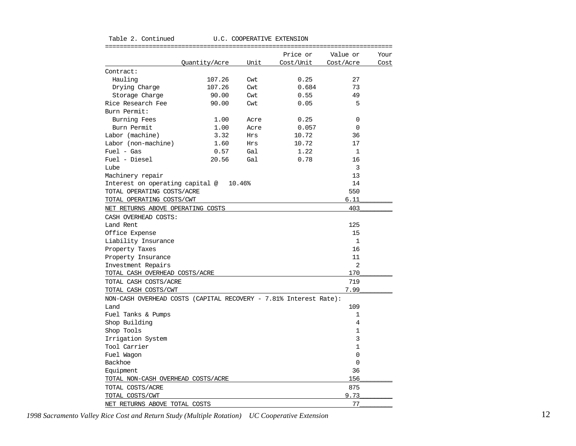|                                                                   |               |        | Price or  | Value or       | Your |
|-------------------------------------------------------------------|---------------|--------|-----------|----------------|------|
|                                                                   | Quantity/Acre | Unit   | Cost/Unit | Cost/Acre      | Cost |
| Contract:                                                         |               |        |           |                |      |
| Hauling                                                           | 107.26        | Cwt    | 0.25      | 27             |      |
| Drying Charge                                                     | 107.26        | Cwt    | 0.684     | 73             |      |
| Storage Charge                                                    | 90.00         | Cwt    | 0.55      | 49             |      |
| Rice Research Fee                                                 | 90.00         | Cwt    | 0.05      | 5              |      |
| Burn Permit:                                                      |               |        |           |                |      |
| Burning Fees                                                      | 1.00          | Acre   | 0.25      | 0              |      |
| Burn Permit                                                       | 1.00          | Acre   | 0.057     | $\Omega$       |      |
| Labor (machine)                                                   | 3.32          | Hrs    | 10.72     | 36             |      |
| Labor (non-machine)                                               | 1.60          | Hrs    | 10.72     | 17             |      |
| $Fuel - Gas$                                                      | 0.57          | Gal    | 1.22      | $\mathbf{1}$   |      |
| Fuel - Diesel                                                     | 20.56         | Gal    | 0.78      | 16             |      |
| Lube                                                              |               |        |           | 3              |      |
| Machinery repair                                                  |               |        |           | 13             |      |
| Interest on operating capital @                                   |               | 10.46% |           | 14             |      |
| TOTAL OPERATING COSTS/ACRE                                        |               |        |           | 550            |      |
| TOTAL OPERATING COSTS/CWT                                         |               |        |           | 6.11           |      |
| NET RETURNS ABOVE OPERATING COSTS                                 |               |        |           | 403            |      |
| CASH OVERHEAD COSTS:                                              |               |        |           |                |      |
| Land Rent                                                         |               |        |           | 125            |      |
| Office Expense                                                    |               |        |           | 15             |      |
| Liability Insurance                                               |               |        |           | $\mathbf{1}$   |      |
| Property Taxes                                                    |               |        |           | 16             |      |
| Property Insurance                                                |               |        |           | 11             |      |
| Investment Repairs                                                |               |        |           | $\overline{2}$ |      |
| TOTAL CASH OVERHEAD COSTS/ACRE                                    |               |        |           | 170            |      |
| TOTAL CASH COSTS/ACRE                                             |               |        |           | 719            |      |
| TOTAL CASH COSTS/CWT                                              |               |        |           | 7.99           |      |
| NON-CASH OVERHEAD COSTS (CAPITAL RECOVERY - 7.81% Interest Rate): |               |        |           |                |      |
| Land                                                              |               |        |           | 109            |      |
| Fuel Tanks & Pumps                                                |               |        |           | 1              |      |
| Shop Building                                                     |               |        |           | 4              |      |
| Shop Tools                                                        |               |        |           | 1              |      |
| Irrigation System                                                 |               |        |           | 3              |      |
| Tool Carrier                                                      |               |        |           | 1              |      |
| Fuel Wagon                                                        |               |        |           | 0              |      |
| Backhoe                                                           |               |        |           | $\mathbf 0$    |      |
| Equipment                                                         |               |        |           | 36             |      |
| TOTAL NON-CASH OVERHEAD COSTS/ACRE                                |               |        |           | 156            |      |
| TOTAL COSTS/ACRE                                                  |               |        |           | 875            |      |
| TOTAL COSTS/CWT                                                   |               |        |           | 9.73           |      |
| NET RETURNS ABOVE TOTAL COSTS                                     |               |        |           | 77             |      |

Table 2. Continued U.C. COOPERATIVE EXTENSION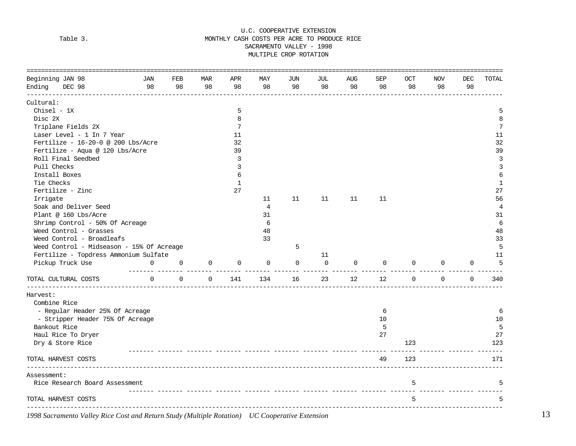### U.C. COOPERATIVE EXTENSION Table 3. The settlement of the MONTHLY CASH COSTS PER ACRE TO PRODUCE RICE SACRAMENTO VALLEY - 1998 MULTIPLE CROP ROTATION

| =================================<br>Beginning JAN 98 | JAN      | <b>FEB</b>  | <b>MAR</b>  | APR         | <b>MAY</b>     | JUN | JUL | <b>AUG</b> | <b>SEP</b> | <b>OCT</b>  | <b>NOV</b>  | <b>DEC</b>  | TOTAL          |
|-------------------------------------------------------|----------|-------------|-------------|-------------|----------------|-----|-----|------------|------------|-------------|-------------|-------------|----------------|
| Ending<br>DEC 98                                      | 98       | 98          | 98          | 98          | 98             | 98  | 98  | 98         | 98         | 98          | 98          | 98          |                |
| Cultural:                                             |          |             |             |             |                |     |     |            |            |             |             |             |                |
| $Chisel - 1X$                                         |          |             |             | 5           |                |     |     |            |            |             |             |             | 5              |
| Disc 2X                                               |          |             |             | 8           |                |     |     |            |            |             |             |             | 8              |
| Triplane Fields 2X                                    |          |             |             | 7           |                |     |     |            |            |             |             |             | 7              |
| Laser Level - 1 In 7 Year                             |          |             |             | 11          |                |     |     |            |            |             |             |             | 11             |
| Fertilize - 16-20-0 @ 200 Lbs/Acre                    |          |             |             | 32          |                |     |     |            |            |             |             |             | 32             |
| Fertilize - Aqua @ 120 Lbs/Acre                       |          |             |             | 39          |                |     |     |            |            |             |             |             | 39             |
| Roll Final Seedbed                                    |          |             |             | 3           |                |     |     |            |            |             |             |             | 3              |
| Pull Checks                                           |          |             |             | 3           |                |     |     |            |            |             |             |             | 3              |
| Install Boxes                                         |          |             |             | 6           |                |     |     |            |            |             |             |             | 6              |
| Tie Checks                                            |          |             |             | $\mathbf 1$ |                |     |     |            |            |             |             |             | $\mathbf{1}$   |
| Fertilize - Zinc                                      |          |             |             | 27          |                |     |     |            |            |             |             |             | 27             |
| Irrigate                                              |          |             |             |             | 11             | 11  | 11  | 11         | 11         |             |             |             | 56             |
| Soak and Deliver Seed                                 |          |             |             |             | $\overline{4}$ |     |     |            |            |             |             |             | $\overline{4}$ |
| Plant @ 160 Lbs/Acre                                  |          |             |             |             | 31             |     |     |            |            |             |             |             | 31             |
| Shrimp Control - 50% Of Acreage                       |          |             |             |             | 6              |     |     |            |            |             |             |             | 6              |
| Weed Control - Grasses                                |          |             |             |             | 48             |     |     |            |            |             |             |             | 48             |
| Weed Control - Broadleafs                             |          |             |             |             | 33             |     |     |            |            |             |             |             | 33             |
| Weed Control - Midseason - 15% Of Acreage             |          |             |             |             |                | 5   |     |            |            |             |             |             | 5              |
| Fertilize - Topdress Ammonium Sulfate                 |          |             |             |             |                |     | 11  |            |            |             |             |             | 11             |
| Pickup Truck Use                                      | 0        | $\mathbf 0$ | 0           | 0           | 0              | 0   | 0   | 0          | 0          | 0           | 0           | 0           | 5              |
| TOTAL CULTURAL COSTS                                  | $\Omega$ | $\mathbf 0$ | $\mathbf 0$ | 141         | 134            | 16  | 23  | 12         | 12         | $\mathbf 0$ | $\mathbf 0$ | $\mathbf 0$ | 340            |
| Harvest:                                              |          |             |             |             |                |     |     |            |            |             |             |             |                |
| Combine Rice                                          |          |             |             |             |                |     |     |            |            |             |             |             |                |
| - Regular Header 25% Of Acreage                       |          |             |             |             |                |     |     |            | 6          |             |             |             | 6              |
| - Stripper Header 75% Of Acreage                      |          |             |             |             |                |     |     |            | 10         |             |             |             | 10             |
| Bankout Rice                                          |          |             |             |             |                |     |     |            | 5          |             |             |             | 5              |
| Haul Rice To Dryer                                    |          |             |             |             |                |     |     |            | 27         |             |             |             | 27             |
| Dry & Store Rice                                      |          |             |             |             |                |     |     |            |            | 123         |             |             | 123            |
| TOTAL HARVEST COSTS                                   |          |             |             |             |                |     |     |            | 49         | 123         |             |             | 171            |
| Assessment:                                           |          |             |             |             |                |     |     |            |            |             |             |             |                |
| Rice Research Board Assessment                        |          |             |             |             |                |     |     |            |            | 5           |             |             | 5              |
| TOTAL HARVEST COSTS                                   |          |             |             |             |                |     |     |            |            | 5           |             |             | 5              |
|                                                       |          |             |             |             |                |     |     |            |            |             |             |             |                |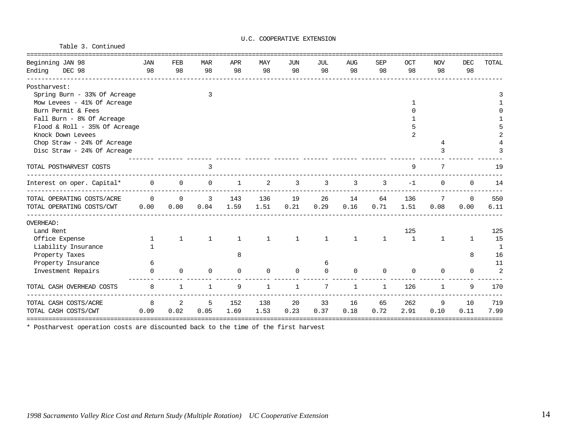Table 3. Continued

#### U.C. COOPERATIVE EXTENSION

| Beginning JAN 98              | <b>JAN</b>   | FEB          | <b>MAR</b>   | APR      | MAY          | <b>JUN</b>   | JUL          | <b>AUG</b>   | <b>SEP</b>   | OCT          | <b>NOV</b>  | <b>DEC</b>   | TOTAL        |
|-------------------------------|--------------|--------------|--------------|----------|--------------|--------------|--------------|--------------|--------------|--------------|-------------|--------------|--------------|
| Ending<br>DEC 98              | 98           | 98           | 98           | 98       | 98           | 98           | 98           | 98           | 98           | 98           | 98          | 98           |              |
| Postharvest:                  |              |              |              |          |              |              |              |              |              |              |             |              |              |
| Spring Burn - 33% Of Acreage  |              |              | 3            |          |              |              |              |              |              |              |             |              |              |
| Mow Levees - 41% Of Acreage   |              |              |              |          |              |              |              |              |              |              |             |              |              |
| Burn Permit & Fees            |              |              |              |          |              |              |              |              |              |              |             |              |              |
| Fall Burn - 8% Of Acreage     |              |              |              |          |              |              |              |              |              |              |             |              |              |
| Flood & Roll - 35% Of Acreage |              |              |              |          |              |              |              |              |              |              |             |              |              |
| Knock Down Levees             |              |              |              |          |              |              |              |              |              | 2            |             |              |              |
| Chop Straw - 24% Of Acreage   |              |              |              |          |              |              |              |              |              |              | 4           |              |              |
| Disc Straw - 24% Of Acreage   |              |              |              |          |              |              |              |              |              |              |             |              |              |
| TOTAL POSTHARVEST COSTS       |              |              | 3            |          |              |              |              |              |              | 9            | 7           |              | 19           |
| Interest on oper. Capital*    | $\mathbf{0}$ | 0            | 0            | 1        | 2            | 3            | 3            | 3            | 3            | $-1$         | $\mathbf 0$ | $\Omega$     | 14           |
| TOTAL OPERATING COSTS/ACRE    | $\mathbf 0$  | 0            | 3            | 143      | 136          | 19           | 26           | 14           | 64           | 136          | 7           | $\Omega$     | 550          |
| TOTAL OPERATING COSTS/CWT     | 0.00         | 0.00         | 0.04         | 1.59     | 1.51         | 0.21         | 0.29         | 0.16         | 0.71         | 1.51         | 0.08        | 0.00         | 6.11         |
| <b>OVERHEAD:</b>              |              |              |              |          |              |              |              |              |              |              |             |              |              |
| Land Rent                     |              |              |              |          |              |              |              |              |              | 125          |             |              | 125          |
| Office Expense                | 1            | $\mathbf{1}$ | $\mathbf{1}$ | 1        | $\mathbf 1$  | $\mathbf{1}$ | $\mathbf{1}$ | $\mathbf 1$  | $\mathbf{1}$ | $\mathbf{1}$ | $\mathbf 1$ | $\mathbf{1}$ | 15           |
| Liability Insurance           | $\mathbf{1}$ |              |              |          |              |              |              |              |              |              |             |              | $\mathbf{1}$ |
| Property Taxes                |              |              |              | 8        |              |              |              |              |              |              |             | 8            | 16           |
| Property Insurance            | 6            |              |              |          |              |              | 6            |              |              |              |             |              | 11           |
| Investment Repairs            |              | 0            | 0            | $\Omega$ | 0            | 0            |              | $\Omega$     | 0            | $\Omega$     | $\Omega$    | $\Omega$     | 2            |
| TOTAL CASH OVERHEAD COSTS     | 8            | $\mathbf 1$  |              | 9        | $\mathbf{1}$ | $\mathbf{1}$ | 7            | $\mathbf{1}$ | $\mathbf{1}$ | 126          | 1           | 9            | 170          |
| TOTAL CASH COSTS/ACRE         | 8            | 2            | 5            | 152      | 138          | 20           | 33           | 16           | 65           | 262          | 9           | 10           | 719          |
| TOTAL CASH COSTS/CWT          | 0.09         | 0.02         | 0.05         | 1.69     | 1.53         | 0.23         | 0.37         | 0.18         | 0.72         | 2.91         | 0.10        | 0.11         | 7.99         |

\* Postharvest operation costs are discounted back to the time of the first harvest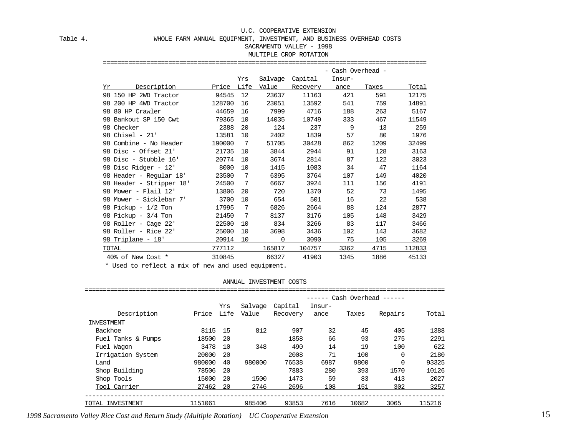#### Table 4. WHOLE FARM ANNUAL EQUIPMENT, INVESTMENT, AND BUSINESS OVERHEAD COSTS

#### SACRAMENTO VALLEY - 1998

#### MULTIPLE CROP ROTATION

|       |                          |              |      |         |          | - Cash Overhead - |       |        |
|-------|--------------------------|--------------|------|---------|----------|-------------------|-------|--------|
|       |                          |              | Yrs  | Salvage | Capital  | Insur-            |       |        |
| Υr    | Description              | <u>Price</u> | Life | Value   | Recovery | ance              | Taxes | Total  |
|       | 98 150 HP 2WD Tractor    | 94545        | 12   | 23637   | 11163    | 421               | 591   | 12175  |
|       | 98 200 HP 4WD Tractor    | 128700       | 16   | 23051   | 13592    | 541               | 759   | 14891  |
|       | 98 80 HP Crawler         | 44659        | 16   | 7999    | 4716     | 188               | 263   | 5167   |
|       | 98 Bankout SP 150 Cwt    | 79365        | 10   | 14035   | 10749    | 333               | 467   | 11549  |
|       | 98 Checker               | 2388         | 20   | 124     | 237      | 9                 | 13    | 259    |
|       | 98 Chisel - 21'          | 13581        | 10   | 2402    | 1839     | 57                | 80    | 1976   |
|       | 98 Combine - No Header   | 190000       | -7   | 51705   | 30428    | 862               | 1209  | 32499  |
|       | 98 Disc - Offset 21'     | 21735        | 10   | 3844    | 2944     | 91                | 128   | 3163   |
|       | 98 Disc - Stubble 16'    | 20774        | 10   | 3674    | 2814     | 87                | 122   | 3023   |
|       | 98 Disc Ridger - 12'     | 8000         | 10   | 1415    | 1083     | 34                | 47    | 1164   |
|       | 98 Header - Regular 18'  | 23500        | 7    | 6395    | 3764     | 107               | 149   | 4020   |
|       | 98 Header - Stripper 18' | 24500        | 7    | 6667    | 3924     | 111               | 156   | 4191   |
|       | 98 Mower - Flail 12'     | 13806        | 20   | 720     | 1370     | 52                | 73    | 1495   |
|       | 98 Mower - Sicklebar 7'  | 3700         | 10   | 654     | 501      | 16                | 22    | 538    |
|       | 98 Pickup - 1/2 Ton      | 17995        | 7    | 6826    | 2664     | 88                | 124   | 2877   |
|       | 98 Pickup - 3/4 Ton      | 21450        | -7   | 8137    | 3176     | 105               | 148   | 3429   |
|       | 98 Roller - Cage 22'     | 22500        | 10   | 834     | 3266     | 83                | 117   | 3466   |
|       | 98 Roller - Rice 22'     | 25000        | 10   | 3698    | 3436     | 102               | 143   | 3682   |
|       | 98 Triplane - 18'        | 20914        | 10   | 0       | 3090     | 75                | 105   | 3269   |
| TOTAL |                          | 777112       |      | 165817  | 104757   | 3362              | 4715  | 112833 |
|       | 40% of New Cost *        | 310845       |      | 66327   | 41903    | 1345              | 1886  | 45133  |

=========================================================================================

ANNUAL INVESTMENT COSTS

|                    |         |      |         |          |        |       | Cash Overhead ------ |        |
|--------------------|---------|------|---------|----------|--------|-------|----------------------|--------|
|                    |         | Yrs  | Salvage | Capital  | Insur- |       |                      |        |
| Description        | Price   | Life | Value   | Recovery | ance   | Taxes | Repairs              | Total  |
| INVESTMENT         |         |      |         |          |        |       |                      |        |
| Backhoe            | 8115    | 15   | 812     | 907      | 32     | 45    | 405                  | 1388   |
| Fuel Tanks & Pumps | 18500   | 20   |         | 1858     | 66     | 93    | 275                  | 2291   |
| Fuel Waqon         | 3478    | 10   | 348     | 490      | 14     | 19    | 100                  | 622    |
| Irrigation System  | 20000   | 20   |         | 2008     | 71     | 100   | $\Omega$             | 2180   |
| Land               | 980000  | 40   | 980000  | 76538    | 6987   | 9800  |                      | 93325  |
| Shop Building      | 78506   | 20   |         | 7883     | 280    | 393   | 1570                 | 10126  |
| Shop Tools         | 15000   | 20   | 1500    | 1473     | 59     | 83    | 413                  | 2027   |
| Tool Carrier       | 27462   | 20   | 2746    | 2696     | 108    | 151   | 302                  | 3257   |
| TOTAL INVESTMENT   | 1151061 |      | 985406  | 93853    | 7616   | 10682 | 3065                 | 115216 |

*1998 Sacramento Valley Rice Cost and Return Study (Multiple Rotation) UC Cooperative Extension* 15

\* Used to reflect a mix of new and used equipment.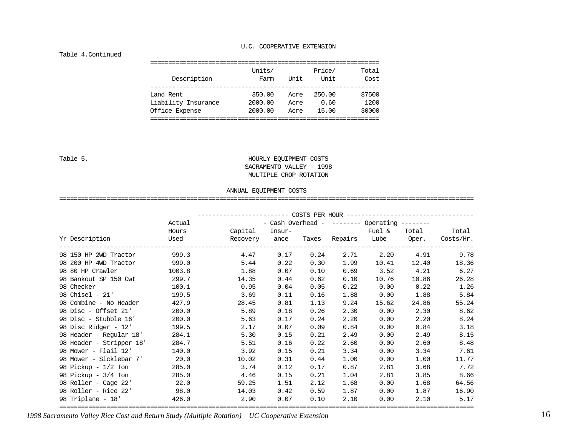#### Table 4.Continued

| Description         | Units/<br>Farm | Unit | Price/<br>Unit | Total<br>Cost |
|---------------------|----------------|------|----------------|---------------|
| Land Rent           | 350.00         | Acre | 250.00         | 87500         |
| Liability Insurance | 2000.00        | Acre | 0.60           | 1200          |
| Office Expense      | 2000.00        | Acre | 15.00          | 30000         |

#### Table 5. HOURLY EQUIPMENT COSTS SACRAMENTO VALLEY - 1998 MULTIPLE CROP ROTATION

#### ANNUAL EQUIPMENT COSTS

==================================================================================================================

|                                                                                                                | Actual                                                      |       |      |      |             | - Cash Overhead - $-----$ Operating $-----$ |             |              |  |  |
|----------------------------------------------------------------------------------------------------------------|-------------------------------------------------------------|-------|------|------|-------------|---------------------------------------------|-------------|--------------|--|--|
|                                                                                                                | Hours                                                       |       |      |      |             |                                             |             |              |  |  |
| Yr Description                                                                                                 | Used       Recovery ance Taxes Repairs Lube Oper. Costs/Hr. |       |      |      |             |                                             |             |              |  |  |
| 98 150 HP 2WD Tractor                                                                                          | 999.3                                                       | 4.47  | 0.17 | 0.24 |             | 2.71 2.20 4.91                              |             | 9.78         |  |  |
| 98 200 HP 4WD Tractor 999.0                                                                                    |                                                             | 5.44  | 0.22 | 0.30 | 1.99        | 10.41                                       |             | 12.40 18.36  |  |  |
| 98 80 HP Crawler 1003.8                                                                                        |                                                             | 1.88  | 0.07 | 0.10 | 0.69        | 3.52                                        | 4.21        | 6.27         |  |  |
| 98 Bankout SP 150 Cwt                                                                                          | 299.7                                                       | 14.35 | 0.44 | 0.62 | 0.10        | 10.76                                       | 10.86       | 26.28        |  |  |
| 98 Checker and the control of the control of the control of the control of the control of the control of the c | 100.1                                                       | 0.95  | 0.04 | 0.05 | 0.22        | 0.00                                        | $0.22$ 1.26 |              |  |  |
| 98 Chisel - 21'                                                                                                | 199.5                                                       | 3.69  | 0.11 | 0.16 | 1.88        | 0.00                                        | 1.88        | 5.84         |  |  |
| 98 Combine - No Header                                                                                         | 427.9                                                       | 28.45 | 0.81 | 1.13 | 9.24        | 15.62                                       | 24.86       | 55.24        |  |  |
| 98 Disc - Offset 21'                                                                                           | 200.0                                                       | 5.89  | 0.18 | 0.26 | 2.30        | 0.00                                        | 2.30        | 8.62         |  |  |
| 98 Disc - Stubble 16'                                                                                          | 200.0                                                       | 5.63  | 0.17 | 0.24 | 2.20        | 0.00                                        | 2.20        | 8.24         |  |  |
| 98 Disc Ridger - 12'                                                                                           | 199.5                                                       | 2.17  | 0.07 | 0.09 | 0.84        | 0.00                                        | 0.84        | 3.18         |  |  |
| 98 Header - Regular 18'                                                                                        | 284.1                                                       | 5.30  | 0.15 | 0.21 | 2.49        | 0.00                                        | 2.49        | 8.15         |  |  |
| 98 Header - Stripper 18'                                                                                       | 284.7                                                       | 5.51  | 0.16 | 0.22 | 2.60        | 0.00                                        | 2.60        | 8.48         |  |  |
| 98 Mower - Flail 12'                                                                                           | 140.0                                                       | 3.92  | 0.15 | 0.21 | 3.34        | 0.00                                        | 3.34        | 7.61         |  |  |
| 98 Mower - Sicklebar 7' 20.0                                                                                   |                                                             | 10.02 | 0.31 | 0.44 | 1.00        | 0.00                                        | 1.00        | 11.77        |  |  |
| 98 Pickup - 1/2 Ton                                                                                            | 285.0                                                       | 3.74  | 0.12 | 0.17 | 0.87        | 2.81                                        | 3.68        | 7.72         |  |  |
| 98 Pickup - 3/4 Ton                                                                                            | 285.0                                                       | 4.46  | 0.15 | 0.21 | 1.04        | 2.81                                        |             | 8.66<br>3.85 |  |  |
| 98 Roller - Cage 22' 22.0                                                                                      |                                                             | 59.25 | 1.51 | 2.12 | 1.68        | 0.00                                        | 1.68        | 64.56        |  |  |
| 98 Roller - Rice 22'                                                                                           | 98.0                                                        | 14.03 | 0.42 | 0.59 | 1.87        | 0.00                                        | 1.87        | 16.90        |  |  |
| 98 Triplane - 18' 426.0                                                                                        |                                                             | 2.90  | 0.07 |      | $0.10$ 2.10 | 0.00                                        | 2.10        | 5.17         |  |  |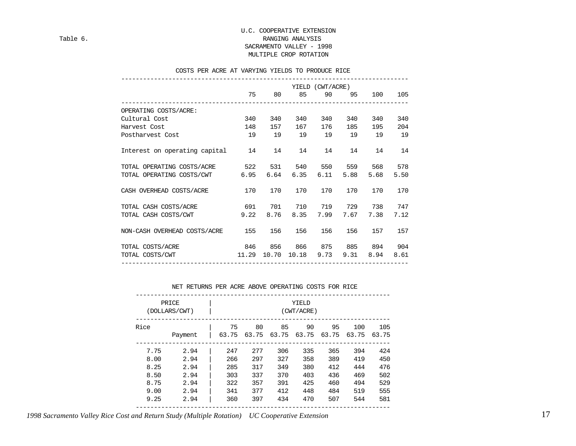#### U.C. COOPERATIVE EXTENSION Table 6. Table 6. SACRAMENTO VALLEY - 1998 MULTIPLE CROP ROTATION

#### COSTS PER ACRE AT VARYING YIELDS TO PRODUCE RICE

|                                  | YIELD (CWT/ACRE) |      |             |       |      |      |      |  |  |
|----------------------------------|------------------|------|-------------|-------|------|------|------|--|--|
|                                  | 75               | 80   | 85          | 90    | 95   | 100  | 105  |  |  |
| OPERATING COSTS/ACRE:            |                  |      |             |       |      |      |      |  |  |
| Cultural Cost                    | 340              | 340  | 340         | 340   | 340  | 340  | 340  |  |  |
| Harvest Cost                     | 148              | 157  | 167         | 176   | 185  | 195  | 204  |  |  |
| Postharvest Cost                 | 19               | 19   | 19          | 19 19 |      | 19   | 19   |  |  |
| Interest on operating capital 14 |                  | 14   | 14          | 14    | 14   | 14   | 14   |  |  |
| TOTAL OPERATING COSTS/ACRE 522   |                  | 531  | 540         | 550   | 559  | 568  | 578  |  |  |
| TOTAL OPERATING COSTS/CWT        | 6.95             | 6.64 | 6.35        | 6.11  | 5.88 | 5.68 | 5.50 |  |  |
| CASH OVERHEAD COSTS/ACRE         | 170              | 170  | 170         | 170   | 170  | 170  | 170  |  |  |
| TOTAL CASH COSTS/ACRE 691        |                  | 701  | 710         | 719   | 729  | 738  | 747  |  |  |
| TOTAL CASH COSTS/CWT             | 9.22             | 8.76 | 8.35        | 7.99  | 7.67 | 7.38 | 7.12 |  |  |
| NON-CASH OVERHEAD COSTS/ACRE 155 |                  | 156  | 156         | 156   | 156  | 157  | 157  |  |  |
| TOTAL COSTS/ACRE<br>846          |                  | 856  | 866         | 875   | 885  | 894  | 904  |  |  |
| TOTAL COSTS/CWT 11.29            |                  |      | 10.70 10.18 | 9.73  | 9.31 | 8.94 | 8.61 |  |  |
|                                  |                  |      |             |       |      |      |      |  |  |

#### NET RETURNS PER ACRE ABOVE OPERATING COSTS FOR RICE

| PRICE<br>(DOLLARS/CWT) | YIELD<br>(CWT/ACRE) |       |       |       |       |       |       |       |  |
|------------------------|---------------------|-------|-------|-------|-------|-------|-------|-------|--|
| Rice                   |                     | 75    | 80    | 85    | 90    | 95    | 100   | 105   |  |
|                        | Payment             | 63.75 | 63.75 | 63.75 | 63.75 | 63.75 | 63.75 | 63.75 |  |
| 7.75                   | 2.94                | 247   | 277   | 306   | 335   | 365   | 394   | 424   |  |
| 8.00                   | 2.94                | 266   | 297   | 327   | 358   | 389   | 419   | 450   |  |
| 8.25                   | 2.94                | 285   | 317   | 349   | 380   | 412   | 444   | 476   |  |
| 8.50                   | 2.94                | 303   | 337   | 370   | 403   | 436   | 469   | 502   |  |
| 8.75                   | 2.94                | 322   | 357   | 391   | 425   | 460   | 494   | 529   |  |
| 9.00                   | 2.94                | 341   | 377   | 412   | 448   | 484   | 519   | 555   |  |
| 9.25                   | 2.94                | 360   | 397   | 434   | 470   | 507   | 544   | 581   |  |